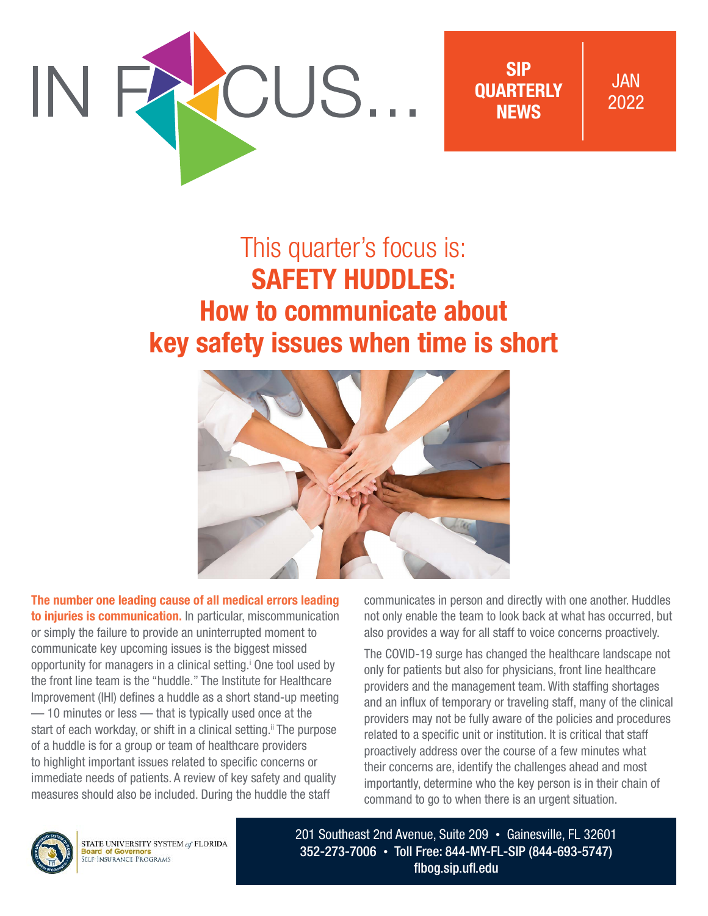

SIP **OUARTERLY** NEWS

JAN 2022

# This quarter's focus is: SAFETY HUDDLES: How to communicate about key safety issues when time is short



The number one leading cause of all medical errors leading to injuries is communication. In particular, miscommunication or simply the failure to provide an uninterrupted moment to communicate key upcoming issues is the biggest missed opportunity for managers in a clinical setting.<sup>†</sup> One tool used by the front line team is the "huddle." The Institute for Healthcare Improvement (IHI) defines a huddle as a short stand-up meeting — 10 minutes or less — that is typically used once at the start of each workday, or shift in a clinical setting.<sup>ii</sup> The purpose of a huddle is for a group or team of healthcare providers to highlight important issues related to specific concerns or immediate needs of patients. A review of key safety and quality measures should also be included. During the huddle the staff

communicates in person and directly with one another. Huddles not only enable the team to look back at what has occurred, but also provides a way for all staff to voice concerns proactively.

The COVID-19 surge has changed the healthcare landscape not only for patients but also for physicians, front line healthcare providers and the management team. With staffing shortages and an influx of temporary or traveling staff, many of the clinical providers may not be fully aware of the policies and procedures related to a specific unit or institution. It is critical that staff proactively address over the course of a few minutes what their concerns are, identify the challenges ahead and most importantly, determine who the key person is in their chain of command to go to when there is an urgent situation.



STATE UNIVERSITY SYSTEM of FLORIDA **Board of Governors<br>SELF-INSURANCE PROGRAMS** 

201 Southeast 2nd Avenue, Suite 209 • Gainesville, FL 32601 352-273-7006 • Toll Free: 844-MY-FL-SIP (844-693-5747) [flbog.sip.ufl.edu](http://flbog.sip.ufl.edu)